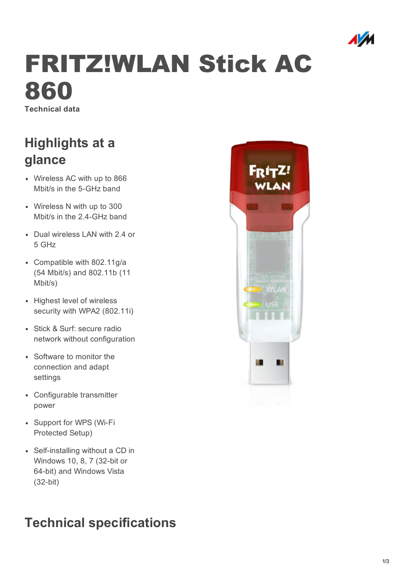

# FRITZ!WLAN Stick AC 860

Technical data

### Highlights at a glance

- Wireless AC with up to 866 Mbit/s in the 5-GHz band
- Wireless N with up to 300 Mbit/s in the 2.4-GHz band
- Dual wireless LAN with 2.4 or 5 GHz
- Compatible with 802.11g/a (54 Mbit/s) and 802.11b (11 Mbit/s)
- Highest level of wireless security with WPA2 (802.11i)
- Stick & Surf: secure radio network without configuration
- Software to monitor the connection and adapt settings
- Configurable transmitter power
- Support for WPS (Wi-Fi Protected Setup)
- Self-installing without a CD in Windows 10, 8, 7 (32-bit or 64-bit) and Windows Vista  $(32-bit)$

## Technical specifications

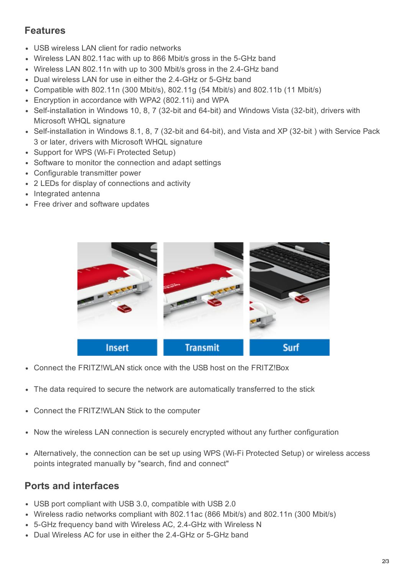#### Features

- USB wireless LAN client for radio networks
- Wireless LAN 802.11ac with up to 866 Mbit/s gross in the 5-GHz band
- Wireless LAN 802.11n with up to 300 Mbit/s gross in the 2.4GHz band
- Dual wireless LAN for use in either the 2.4-GHz or 5-GHz band
- Compatible with 802.11n (300 Mbit/s), 802.11g (54 Mbit/s) and 802.11b (11 Mbit/s)
- Encryption in accordance with WPA2 (802.11i) and WPA
- Self-installation in Windows 10, 8, 7 (32-bit and 64-bit) and Windows Vista (32-bit), drivers with Microsoft WHQL signature
- Self-installation in Windows 8.1, 8, 7 (32-bit and 64-bit), and Vista and XP (32-bit) with Service Pack 3 or later, drivers with Microsoft WHQL signature
- Support for WPS (Wi-Fi Protected Setup)
- Software to monitor the connection and adapt settings
- Configurable transmitter power
- 2 LEDs for display of connections and activity
- Integrated antenna
- Free driver and software updates



- Connect the FRITZ!WLAN stick once with the USB host on the FRITZ!Box
- The data required to secure the network are automatically transferred to the stick
- Connect the FRITZ!WLAN Stick to the computer
- Now the wireless LAN connection is securely encrypted without any further configuration
- Alternatively, the connection can be set up using WPS (Wi-Fi Protected Setup) or wireless access points integrated manually by "search, find and connect"

#### Ports and interfaces

- USB port compliant with USB 3.0, compatible with USB 2.0
- Wireless radio networks compliant with 802.11ac (866 Mbit/s) and 802.11n (300 Mbit/s)
- 5-GHz frequency band with Wireless AC, 2.4-GHz with Wireless N
- Dual Wireless AC for use in either the 2.4-GHz or 5-GHz band